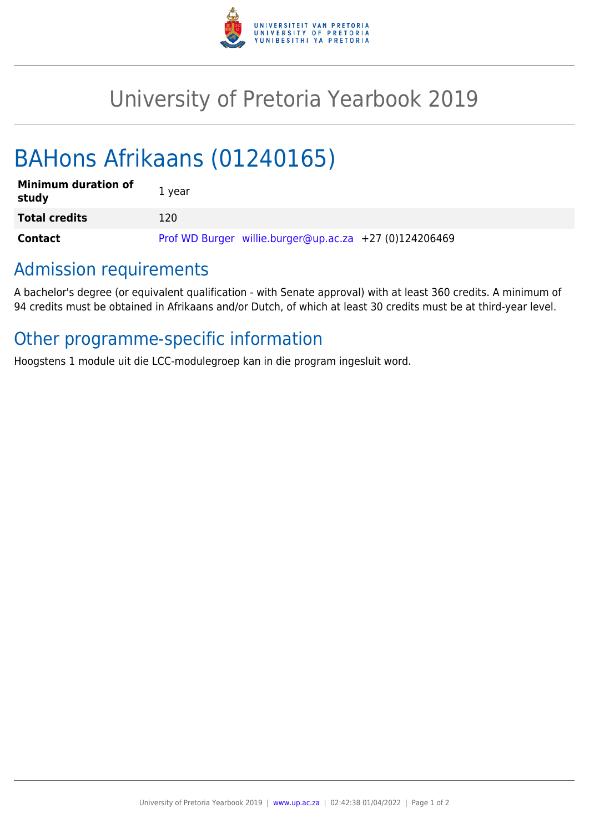

## University of Pretoria Yearbook 2019

# BAHons Afrikaans (01240165)

| <b>Minimum duration of</b><br>study | 1 year                                                 |
|-------------------------------------|--------------------------------------------------------|
| <b>Total credits</b>                | 120                                                    |
| Contact                             | Prof WD Burger willie.burger@up.ac.za +27 (0)124206469 |

#### Admission requirements

A bachelor's degree (or equivalent qualification - with Senate approval) with at least 360 credits. A minimum of 94 credits must be obtained in Afrikaans and/or Dutch, of which at least 30 credits must be at third-year level.

## Other programme-specific information

Hoogstens 1 module uit die LCC-modulegroep kan in die program ingesluit word.